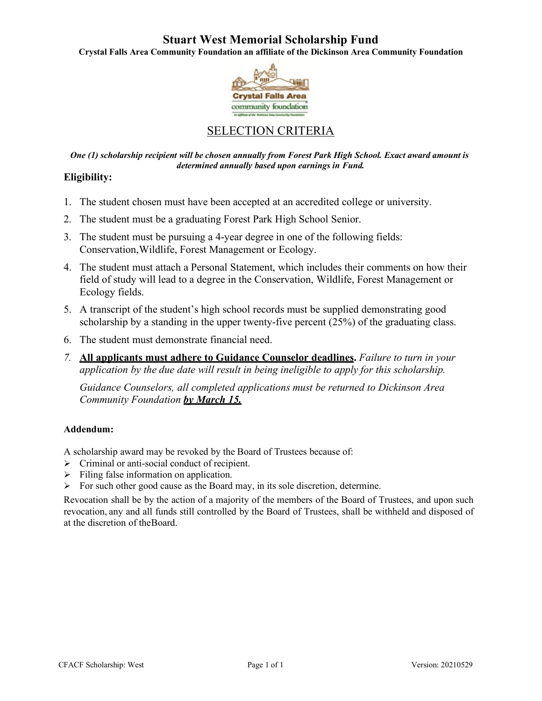# **Stuart West Memorial Scholarship Fund**

**Crystal Falls Area Community Foundation an affiliate of the Dickinson Area Community Foundation**



# SELECTION CRITERIA

*One (1) scholarship recipient will be chosen annually from Forest Park High School. Exact award amount is determined annually based upon earnings in Fund.*

## **Eligibility:**

- 1. The student chosen must have been accepted at an accredited college or university.
- 2. The student must be a graduating Forest Park High School Senior.
- 3. The student must be pursuing a 4-year degree in one of the following fields: Conservation,Wildlife, Forest Management or Ecology.
- 4. The student must attach a Personal Statement, which includes their comments on how their field of study will lead to a degree in the Conservation, Wildlife, Forest Management or Ecology fields.
- 5. A transcript of the student's high school records must be supplied demonstrating good scholarship by a standing in the upper twenty-five percent (25%) of the graduating class.
- 6. The student must demonstrate financial need.
- *7.* **All applicants must adhere to Guidance Counselor deadlines.** *Failure to turn in your application by the due date will result in being ineligible to apply for this scholarship.*

*Guidance Counselors, all completed applications must be returned to Dickinson Area Community Foundation by March 15.*

### **Addendum:**

A scholarship award may be revoked by the Board of Trustees because of:

- $\triangleright$  Criminal or anti-social conduct of recipient.
- $\triangleright$  Filing false information on application.
- $\triangleright$  For such other good cause as the Board may, in its sole discretion, determine.

Revocation shall be by the action of a majority of the members of the Board of Trustees, and upon such revocation, any and all funds still controlled by the Board of Trustees, shall be withheld and disposed of at the discretion of theBoard.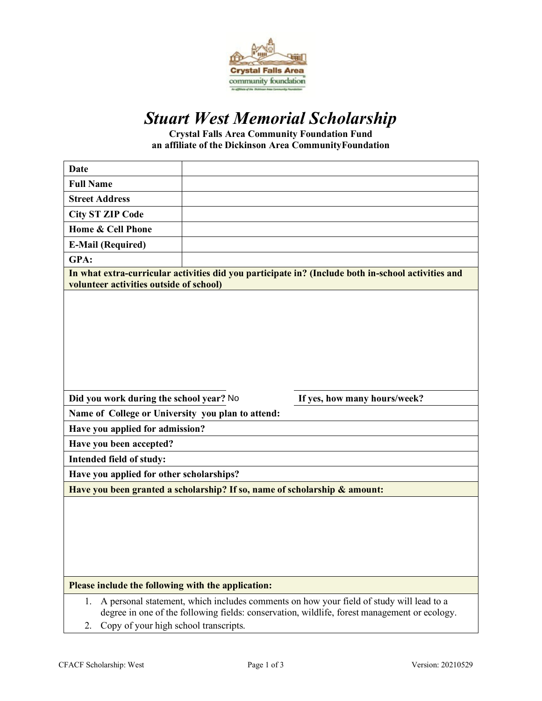

# *Stuart West Memorial Scholarship*

**Crystal Falls Area Community Foundation Fund an affiliate of the Dickinson Area CommunityFoundation**

| <b>Date</b>                                                                                                                                                                                                                                  |  |  |
|----------------------------------------------------------------------------------------------------------------------------------------------------------------------------------------------------------------------------------------------|--|--|
| <b>Full Name</b>                                                                                                                                                                                                                             |  |  |
| <b>Street Address</b>                                                                                                                                                                                                                        |  |  |
| <b>City ST ZIP Code</b>                                                                                                                                                                                                                      |  |  |
| Home & Cell Phone                                                                                                                                                                                                                            |  |  |
| <b>E-Mail (Required)</b>                                                                                                                                                                                                                     |  |  |
| GPA:                                                                                                                                                                                                                                         |  |  |
| In what extra-curricular activities did you participate in? (Include both in-school activities and<br>volunteer activities outside of school)                                                                                                |  |  |
|                                                                                                                                                                                                                                              |  |  |
| Did you work during the school year? No<br>If yes, how many hours/week?                                                                                                                                                                      |  |  |
| Name of College or University you plan to attend:                                                                                                                                                                                            |  |  |
| Have you applied for admission?                                                                                                                                                                                                              |  |  |
| Have you been accepted?                                                                                                                                                                                                                      |  |  |
| Intended field of study:                                                                                                                                                                                                                     |  |  |
| Have you applied for other scholarships?                                                                                                                                                                                                     |  |  |
| Have you been granted a scholarship? If so, name of scholarship & amount:                                                                                                                                                                    |  |  |
|                                                                                                                                                                                                                                              |  |  |
| Please include the following with the application:                                                                                                                                                                                           |  |  |
| A personal statement, which includes comments on how your field of study will lead to a<br>1.<br>degree in one of the following fields: conservation, wildlife, forest management or ecology.<br>Copy of your high school transcripts.<br>2. |  |  |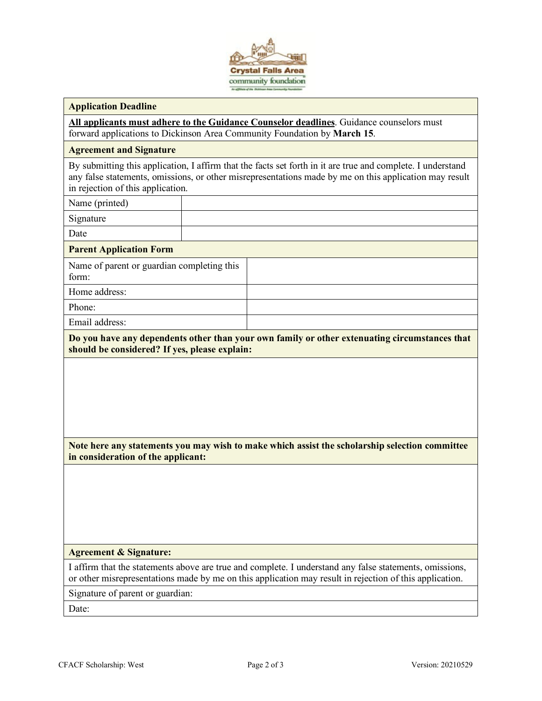

#### **Application Deadline**

**All applicants must adhere to the Guidance Counselor deadlines**. Guidance counselors must forward applications to Dickinson Area Community Foundation by **March 15**.

#### **Agreement and Signature**

By submitting this application, I affirm that the facts set forth in it are true and complete. I understand any false statements, omissions, or other misrepresentations made by me on this application may result in rejection of this application.

Name (printed)

Signature

Date

#### **Parent Application Form**

| Name of parent or guardian completing this<br>form: |  |
|-----------------------------------------------------|--|
| Home address:                                       |  |
| Phone:                                              |  |
| Email address:                                      |  |

**Do you have any dependents other than your own family or other extenuating circumstances that should be considered? If yes, please explain:**

**Note here any statements you may wish to make which assist the scholarship selection committee in consideration of the applicant:**

#### **Agreement & Signature:**

I affirm that the statements above are true and complete. I understand any false statements, omissions, or other misrepresentations made by me on this application may result in rejection of this application.

Signature of parent or guardian:

Date: